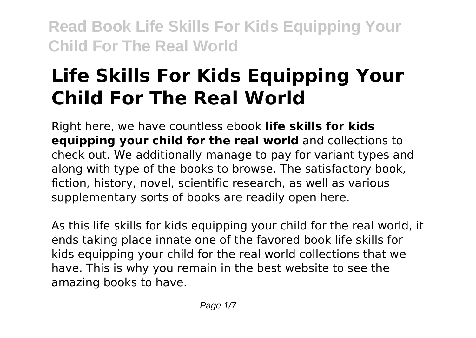# **Life Skills For Kids Equipping Your Child For The Real World**

Right here, we have countless ebook **life skills for kids equipping your child for the real world** and collections to check out. We additionally manage to pay for variant types and along with type of the books to browse. The satisfactory book, fiction, history, novel, scientific research, as well as various supplementary sorts of books are readily open here.

As this life skills for kids equipping your child for the real world, it ends taking place innate one of the favored book life skills for kids equipping your child for the real world collections that we have. This is why you remain in the best website to see the amazing books to have.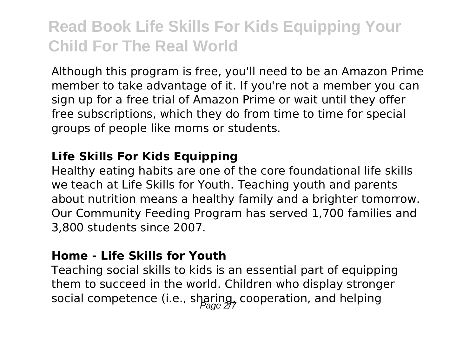Although this program is free, you'll need to be an Amazon Prime member to take advantage of it. If you're not a member you can sign up for a free trial of Amazon Prime or wait until they offer free subscriptions, which they do from time to time for special groups of people like moms or students.

#### **Life Skills For Kids Equipping**

Healthy eating habits are one of the core foundational life skills we teach at Life Skills for Youth. Teaching youth and parents about nutrition means a healthy family and a brighter tomorrow. Our Community Feeding Program has served 1,700 families and 3,800 students since 2007.

### **Home - Life Skills for Youth**

Teaching social skills to kids is an essential part of equipping them to succeed in the world. Children who display stronger social competence (i.e., sharing, cooperation, and helping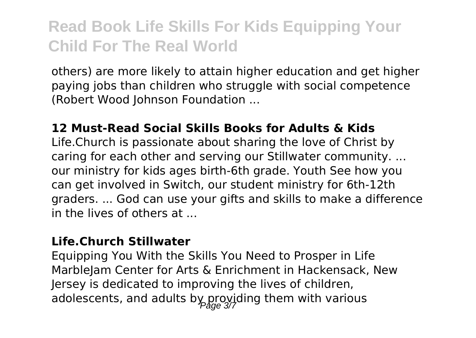others) are more likely to attain higher education and get higher paying jobs than children who struggle with social competence (Robert Wood Johnson Foundation ...

#### **12 Must-Read Social Skills Books for Adults & Kids**

Life.Church is passionate about sharing the love of Christ by caring for each other and serving our Stillwater community. ... our ministry for kids ages birth-6th grade. Youth See how you can get involved in Switch, our student ministry for 6th-12th graders. ... God can use your gifts and skills to make a difference in the lives of others at  $\overline{\phantom{a}}$ 

#### **Life.Church Stillwater**

Equipping You With the Skills You Need to Prosper in Life MarbleJam Center for Arts & Enrichment in Hackensack, New Jersey is dedicated to improving the lives of children, adolescents, and adults by providing them with various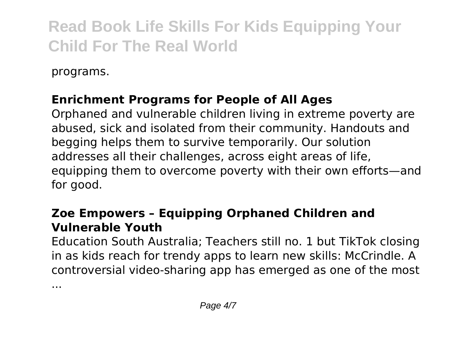programs.

## **Enrichment Programs for People of All Ages**

Orphaned and vulnerable children living in extreme poverty are abused, sick and isolated from their community. Handouts and begging helps them to survive temporarily. Our solution addresses all their challenges, across eight areas of life, equipping them to overcome poverty with their own efforts—and for good.

## **Zoe Empowers – Equipping Orphaned Children and Vulnerable Youth**

Education South Australia; Teachers still no. 1 but TikTok closing in as kids reach for trendy apps to learn new skills: McCrindle. A controversial video-sharing app has emerged as one of the most

...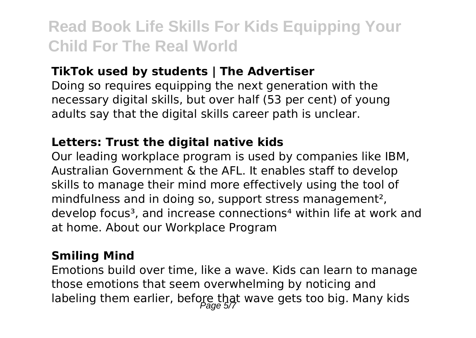### **TikTok used by students | The Advertiser**

Doing so requires equipping the next generation with the necessary digital skills, but over half (53 per cent) of young adults say that the digital skills career path is unclear.

### **Letters: Trust the digital native kids**

Our leading workplace program is used by companies like IBM, Australian Government & the AFL. It enables staff to develop skills to manage their mind more effectively using the tool of mindfulness and in doing so, support stress management², develop focus<sup>3</sup>, and increase connections<sup>4</sup> within life at work and at home. About our Workplace Program

### **Smiling Mind**

Emotions build over time, like a wave. Kids can learn to manage those emotions that seem overwhelming by noticing and labeling them earlier, before that wave gets too big. Many kids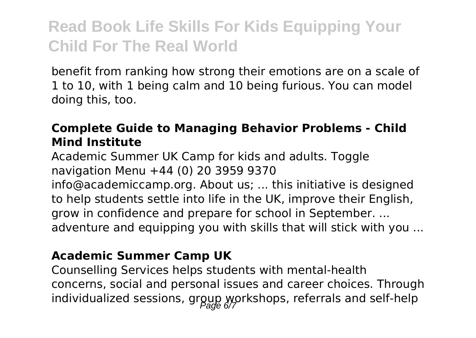benefit from ranking how strong their emotions are on a scale of 1 to 10, with 1 being calm and 10 being furious. You can model doing this, too.

## **Complete Guide to Managing Behavior Problems - Child Mind Institute**

Academic Summer UK Camp for kids and adults. Toggle navigation Menu +44 (0) 20 3959 9370

info@academiccamp.org. About us; ... this initiative is designed to help students settle into life in the UK, improve their English, grow in confidence and prepare for school in September. ... adventure and equipping you with skills that will stick with you ...

### **Academic Summer Camp UK**

Counselling Services helps students with mental-health concerns, social and personal issues and career choices. Through individualized sessions, group workshops, referrals and self-help